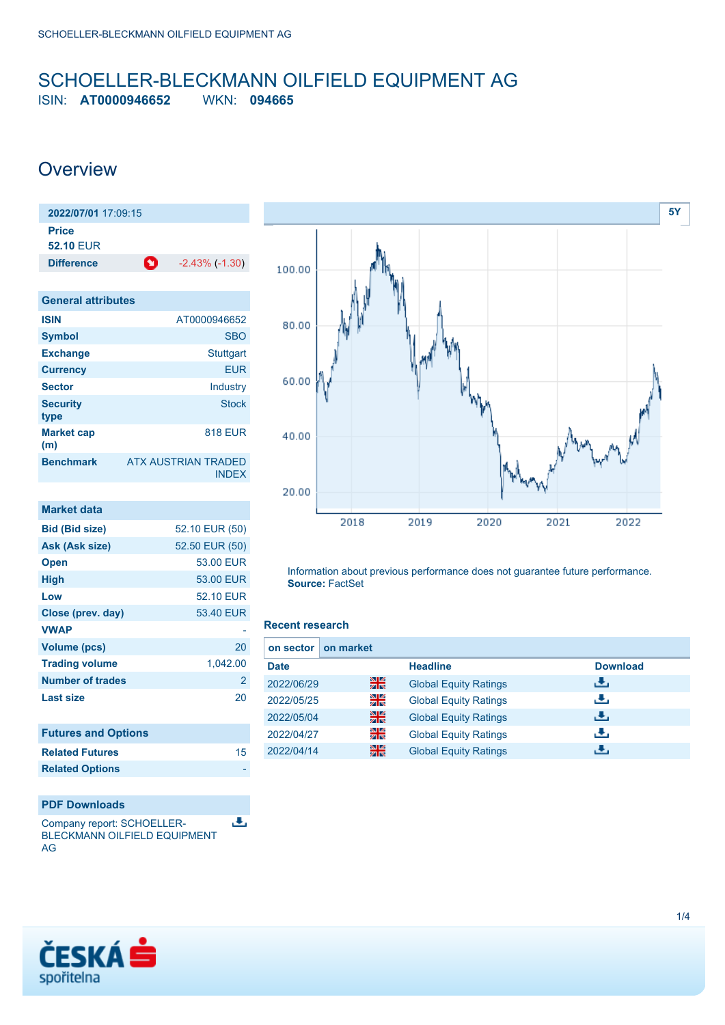## <span id="page-0-0"></span>SCHOELLER-BLECKMANN OILFIELD EQUIPMENT AG ISIN: **AT0000946652** WKN: **094665**

## **Overview**

| 2022/07/01 17:09:15              |   |                     |
|----------------------------------|---|---------------------|
| <b>Price</b><br><b>52.10 FUR</b> |   |                     |
| <b>Difference</b>                | o | $-2.43\%$ $(-1.30)$ |

| <b>General attributes</b> |                                     |
|---------------------------|-------------------------------------|
| <b>ISIN</b>               | AT0000946652                        |
| <b>Symbol</b>             | <b>SBO</b>                          |
| <b>Exchange</b>           | Stuttgart                           |
| <b>Currency</b>           | <b>EUR</b>                          |
| <b>Sector</b>             | Industry                            |
| <b>Security</b><br>type   | <b>Stock</b>                        |
| <b>Market cap</b><br>(m)  | <b>818 EUR</b>                      |
| <b>Benchmark</b>          | ATX AUSTRIAN TRADED<br><b>INDEX</b> |

| <b>Market data</b>    |                |
|-----------------------|----------------|
| <b>Bid (Bid size)</b> | 52.10 EUR (50) |
| Ask (Ask size)        | 52.50 EUR (50) |
| <b>Open</b>           | 53.00 EUR      |
| <b>High</b>           | 53.00 EUR      |
| Low                   | 52.10 FUR      |
| Close (prev. day)     | 53.40 EUR      |
| <b>VWAP</b>           |                |
| Volume (pcs)          | 20             |
| <b>Trading volume</b> | 1,042.00       |
| Number of trades      | $\mathbf{2}$   |
| Last size             | 20             |

| <b>Futures and Options</b> |    |
|----------------------------|----|
| <b>Related Futures</b>     | 15 |
| <b>Related Options</b>     |    |

## **PDF Downloads**

Company report: SCHOELLER-BLECKMANN OILFIELD EQUIPMENT AG



Information about previous performance does not guarantee future performance. **Source:** FactSet

### **Recent research**

 $\overline{\mathbf{r}}$ 

| on market<br>on sector I |    |                              |                 |
|--------------------------|----|------------------------------|-----------------|
| <b>Date</b>              |    | <b>Headline</b>              | <b>Download</b> |
| 2022/06/29               | 을중 | <b>Global Equity Ratings</b> | رنان            |
| 2022/05/25               | 읡  | <b>Global Equity Ratings</b> | æ,              |
| 2022/05/04               | 꾊  | <b>Global Equity Ratings</b> | æ,              |
| 2022/04/27               | 꾉뚢 | <b>Global Equity Ratings</b> | æ,              |
| 2022/04/14               | 噐  | <b>Global Equity Ratings</b> | æ.              |

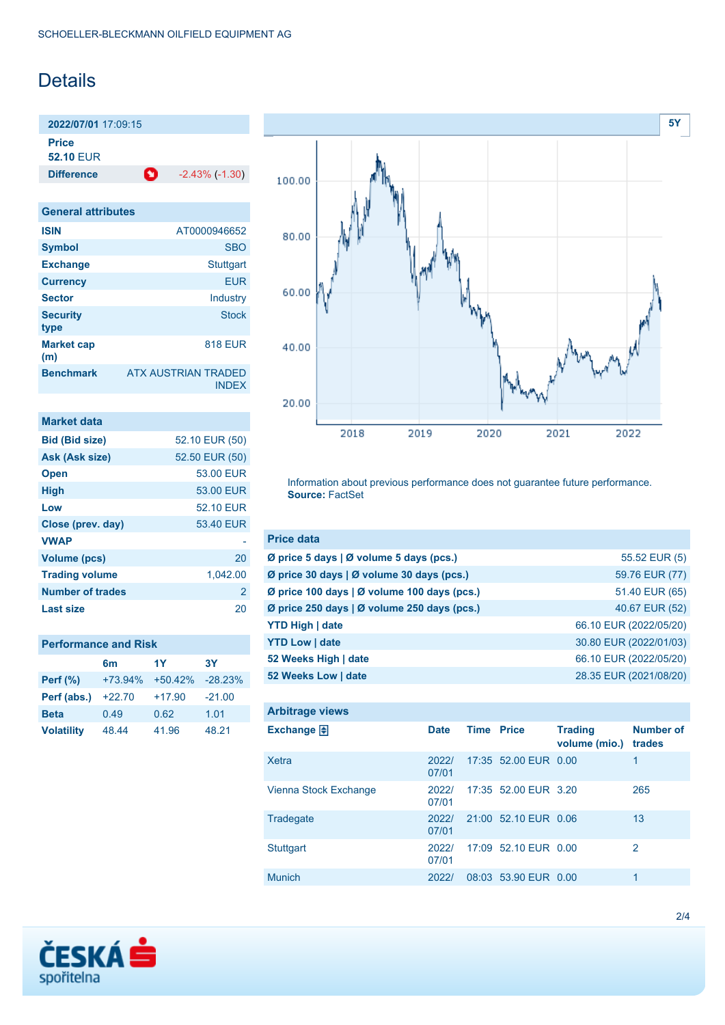# **Details**

**2022/07/01** 17:09:15 **Price**

**52.10** EUR

**Difference 12.43% (-1.30)** 

| <b>General attributes</b> |                                            |
|---------------------------|--------------------------------------------|
| <b>ISIN</b>               | AT0000946652                               |
| <b>Symbol</b>             | <b>SBO</b>                                 |
| <b>Exchange</b>           | Stuttgart                                  |
| <b>Currency</b>           | <b>EUR</b>                                 |
| <b>Sector</b>             | Industry                                   |
| <b>Security</b><br>type   | <b>Stock</b>                               |
| <b>Market cap</b><br>(m)  | <b>818 EUR</b>                             |
| <b>Benchmark</b>          | <b>ATX AUSTRIAN TRADED</b><br><b>INDEX</b> |

| <b>Market data</b>    |                |
|-----------------------|----------------|
| <b>Bid (Bid size)</b> | 52.10 EUR (50) |
| Ask (Ask size)        | 52.50 EUR (50) |
| <b>Open</b>           | 53.00 EUR      |
| <b>High</b>           | 53.00 EUR      |
| Low                   | 52.10 EUR      |
| Close (prev. day)     | 53.40 EUR      |
| <b>VWAP</b>           |                |
| <b>Volume (pcs)</b>   | 20             |
| <b>Trading volume</b> | 1,042.00       |
| Number of trades      | $\mathbf{2}$   |
| Last size             | 20             |

### **Performance and Risk**

|                   | 6m        | 1Y        | 3Υ        |
|-------------------|-----------|-----------|-----------|
| <b>Perf (%)</b>   | $+73.94%$ | $+50.42%$ | $-28.23%$ |
| Perf (abs.)       | $+22.70$  | $+17.90$  | $-21.00$  |
| <b>Beta</b>       | 0.49      | 0.62      | 1.01      |
| <b>Volatility</b> | 48.44     | 41.96     | 48.21     |



Information about previous performance does not guarantee future performance. **Source:** FactSet

| <b>Price data</b>                                     |                        |
|-------------------------------------------------------|------------------------|
| Ø price 5 days $\vert \emptyset$ volume 5 days (pcs.) | 55.52 EUR (5)          |
| Ø price 30 days   Ø volume 30 days (pcs.)             | 59.76 EUR (77)         |
| Ø price 100 days   Ø volume 100 days (pcs.)           | 51.40 EUR (65)         |
| Ø price 250 days $\vert$ Ø volume 250 days (pcs.)     | 40.67 EUR (52)         |
| <b>YTD High   date</b>                                | 66.10 EUR (2022/05/20) |
| <b>YTD Low   date</b>                                 | 30.80 EUR (2022/01/03) |
| 52 Weeks High   date                                  | 66.10 EUR (2022/05/20) |
| 52 Weeks Low   date                                   | 28.35 EUR (2021/08/20) |

| <b>Arbitrage views</b> |                |                   |                      |                                 |                            |
|------------------------|----------------|-------------------|----------------------|---------------------------------|----------------------------|
| Exchange $\Box$        | <b>Date</b>    | <b>Time Price</b> |                      | <b>Trading</b><br>volume (mio.) | <b>Number of</b><br>trades |
| <b>Xetra</b>           | 2022/<br>07/01 |                   | 17:35 52.00 EUR 0.00 |                                 | 1                          |
| Vienna Stock Exchange  | 2022/<br>07/01 |                   | 17:35 52.00 EUR 3.20 |                                 | 265                        |
| Tradegate              | 2022/<br>07/01 |                   | 21:00 52.10 EUR 0.06 |                                 | 13                         |
| <b>Stuttgart</b>       | 2022/<br>07/01 |                   | 17:09 52.10 EUR 0.00 |                                 | 2                          |
| <b>Munich</b>          | 2022/          |                   | 08:03 53.90 EUR 0.00 |                                 | 1                          |

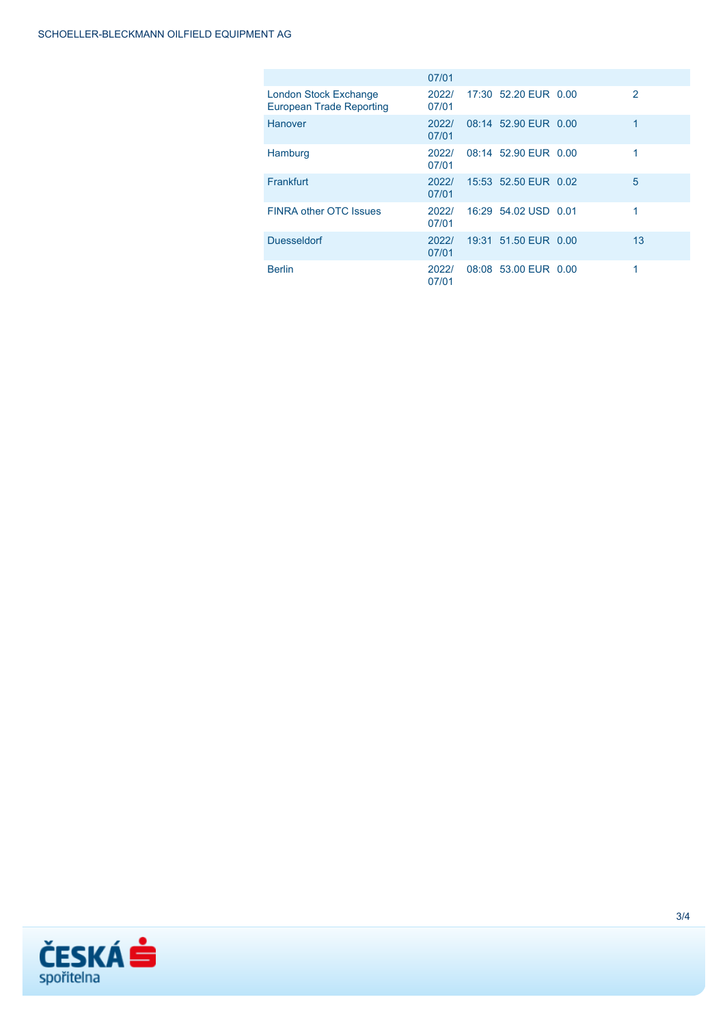|                                                          | 07/01          |                      |                |
|----------------------------------------------------------|----------------|----------------------|----------------|
| London Stock Exchange<br><b>European Trade Reporting</b> | 2022/<br>07/01 | 17:30 52.20 EUR 0.00 | $\overline{2}$ |
| Hanover                                                  | 2022/<br>07/01 | 08:14 52.90 EUR 0.00 | 1              |
| Hamburg                                                  | 2022/<br>07/01 | 08:14 52.90 EUR 0.00 | 1              |
| Frankfurt                                                | 2022/<br>07/01 | 15:53 52.50 EUR 0.02 | 5              |
| <b>FINRA other OTC Issues</b>                            | 2022/<br>07/01 | 16:29 54.02 USD 0.01 | 1              |
| <b>Duesseldorf</b>                                       | 2022/<br>07/01 | 19:31 51.50 EUR 0.00 | 13             |
| <b>Berlin</b>                                            | 2022/<br>07/01 | 08:08 53.00 EUR 0.00 |                |